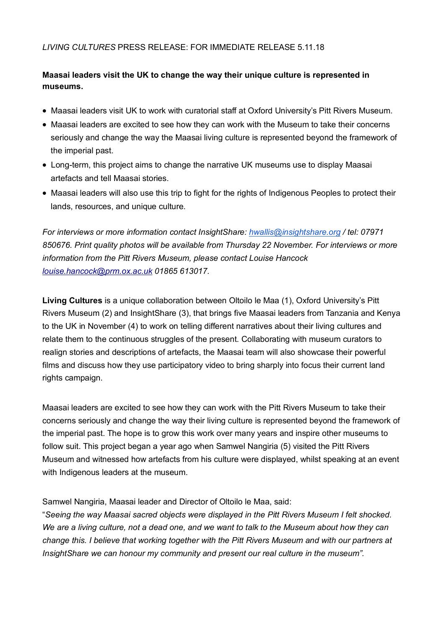## *LIVING CULTURES* PRESS RELEASE: FOR IMMEDIATE RELEASE 5.11.18

# **Maasai leaders visit the UK to change the way their unique culture is represented in museums.**

- Maasai leaders visit UK to work with curatorial staff at Oxford University's Pitt Rivers Museum.
- Maasai leaders are excited to see how they can work with the Museum to take their concerns seriously and change the way the Maasai living culture is represented beyond the framework of the imperial past.
- Long-term, this project aims to change the narrative UK museums use to display Maasai artefacts and tell Maasai stories.
- Maasai leaders will also use this trip to fight for the rights of Indigenous Peoples to protect their lands, resources, and unique culture.

*For interviews or more information contact InsightShare: hwallis@insightshare.org / tel: 07971 850676. Print quality photos will be available from Thursday 22 November. For interviews or more information from the Pitt Rivers Museum, please contact Louise Hancock louise.hancock@prm.ox.ac.uk 01865 613017.*

**Living Cultures** is a unique collaboration between Oltoilo le Maa (1), Oxford University's Pitt Rivers Museum (2) and InsightShare (3), that brings five Maasai leaders from Tanzania and Kenya to the UK in November (4) to work on telling different narratives about their living cultures and relate them to the continuous struggles of the present. Collaborating with museum curators to realign stories and descriptions of artefacts, the Maasai team will also showcase their powerful films and discuss how they use participatory video to bring sharply into focus their current land rights campaign.

Maasai leaders are excited to see how they can work with the Pitt Rivers Museum to take their concerns seriously and change the way their living culture is represented beyond the framework of the imperial past. The hope is to grow this work over many years and inspire other museums to follow suit. This project began a year ago when Samwel Nangiria (5) visited the Pitt Rivers Museum and witnessed how artefacts from his culture were displayed, whilst speaking at an event with Indigenous leaders at the museum.

Samwel Nangiria, Maasai leader and Director of Oltoilo le Maa, said:

"*Seeing the way Maasai sacred objects were displayed in the Pitt Rivers Museum I felt shocked. We are a living culture, not a dead one, and we want to talk to the Museum about how they can change this. I believe that working together with the Pitt Rivers Museum and with our partners at InsightShare we can honour my community and present our real culture in the museum".*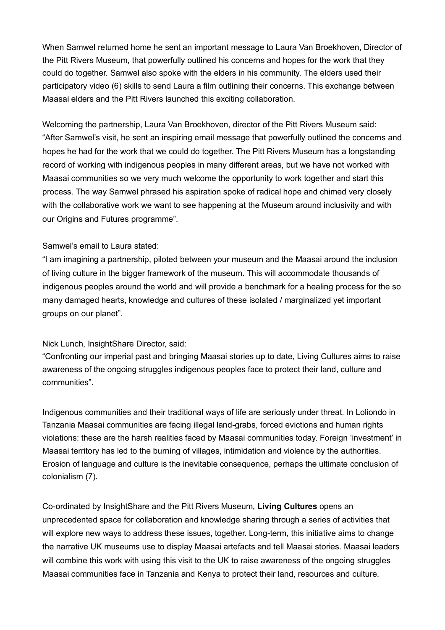When Samwel returned home he sent an important message to Laura Van Broekhoven, Director of the Pitt Rivers Museum, that powerfully outlined his concerns and hopes for the work that they could do together. Samwel also spoke with the elders in his community. The elders used their participatory video (6) skills to send Laura a film outlining their concerns. This exchange between Maasai elders and the Pitt Rivers launched this exciting collaboration.

Welcoming the partnership, Laura Van Broekhoven, director of the Pitt Rivers Museum said: "After Samwel's visit, he sent an inspiring email message that powerfully outlined the concerns and hopes he had for the work that we could do together. The Pitt Rivers Museum has a longstanding record of working with indigenous peoples in many different areas, but we have not worked with Maasai communities so we very much welcome the opportunity to work together and start this process. The way Samwel phrased his aspiration spoke of radical hope and chimed very closely with the collaborative work we want to see happening at the Museum around inclusivity and with our Origins and Futures programme".

## Samwel's email to Laura stated:

"I am imagining a partnership, piloted between your museum and the Maasai around the inclusion of living culture in the bigger framework of the museum. This will accommodate thousands of indigenous peoples around the world and will provide a benchmark for a healing process for the so many damaged hearts, knowledge and cultures of these isolated / marginalized yet important groups on our planet".

### Nick Lunch, InsightShare Director, said:

"Confronting our imperial past and bringing Maasai stories up to date, Living Cultures aims to raise awareness of the ongoing struggles indigenous peoples face to protect their land, culture and communities".

Indigenous communities and their traditional ways of life are seriously under threat. In Loliondo in Tanzania Maasai communities are facing illegal land-grabs, forced evictions and human rights violations: these are the harsh realities faced by Maasai communities today. Foreign 'investment' in Maasai territory has led to the burning of villages, intimidation and violence by the authorities. Erosion of language and culture is the inevitable consequence, perhaps the ultimate conclusion of colonialism (7).

Co-ordinated by InsightShare and the Pitt Rivers Museum, **Living Cultures** opens an unprecedented space for collaboration and knowledge sharing through a series of activities that will explore new ways to address these issues, together. Long-term, this initiative aims to change the narrative UK museums use to display Maasai artefacts and tell Maasai stories. Maasai leaders will combine this work with using this visit to the UK to raise awareness of the ongoing struggles Maasai communities face in Tanzania and Kenya to protect their land, resources and culture.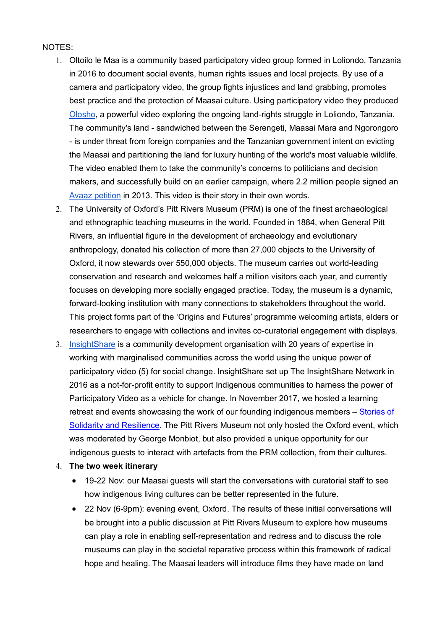#### NOTES:

- 1. Oltoilo le Maa is a community based participatory video group formed in Loliondo, Tanzania in 2016 to document social events, human rights issues and local projects. By use of a camera and participatory video, the group fights injustices and land grabbing, promotes best practice and the protection of Maasai culture. Using participatory video they produced Olosho, a powerful video exploring the ongoing land-rights struggle in Loliondo, Tanzania. The community's land - sandwiched between the Serengeti, Maasai Mara and Ngorongoro - is under threat from foreign companies and the Tanzanian government intent on evicting the Maasai and partitioning the land for luxury hunting of the world's most valuable wildlife. The video enabled them to take the community's concerns to politicians and decision makers, and successfully build on an earlier campaign, where 2.2 million people signed an Avaaz petition in 2013. This video is their story in their own words.
- 2. The University of Oxford's Pitt Rivers Museum (PRM) is one of the finest archaeological and ethnographic teaching museums in the world. Founded in 1884, when General Pitt Rivers, an influential figure in the development of archaeology and evolutionary anthropology, donated his collection of more than 27,000 objects to the University of Oxford, it now stewards over 550,000 objects. The museum carries out world-leading conservation and research and welcomes half a million visitors each year, and currently focuses on developing more socially engaged practice. Today, the museum is a dynamic, forward-looking institution with many connections to stakeholders throughout the world. This project forms part of the 'Origins and Futures' programme welcoming artists, elders or researchers to engage with collections and invites co-curatorial engagement with displays.
- 3. InsightShare is a community development organisation with 20 years of expertise in working with marginalised communities across the world using the unique power of participatory video (5) for social change. InsightShare set up The InsightShare Network in 2016 as a not-for-profit entity to support Indigenous communities to harness the power of Participatory Video as a vehicle for change. In November 2017, we hosted a learning retreat and events showcasing the work of our founding indigenous members – Stories of Solidarity and Resilience. The Pitt Rivers Museum not only hosted the Oxford event, which was moderated by George Monbiot, but also provided a unique opportunity for our indigenous guests to interact with artefacts from the PRM collection, from their cultures.
- 4. **The two week itinerary**
	- 19-22 Nov: our Maasai guests will start the conversations with curatorial staff to see how indigenous living cultures can be better represented in the future.
	- 22 Nov (6-9pm): evening event, Oxford. The results of these initial conversations will be brought into a public discussion at Pitt Rivers Museum to explore how museums can play a role in enabling self-representation and redress and to discuss the role museums can play in the societal reparative process within this framework of radical hope and healing. The Maasai leaders will introduce films they have made on land